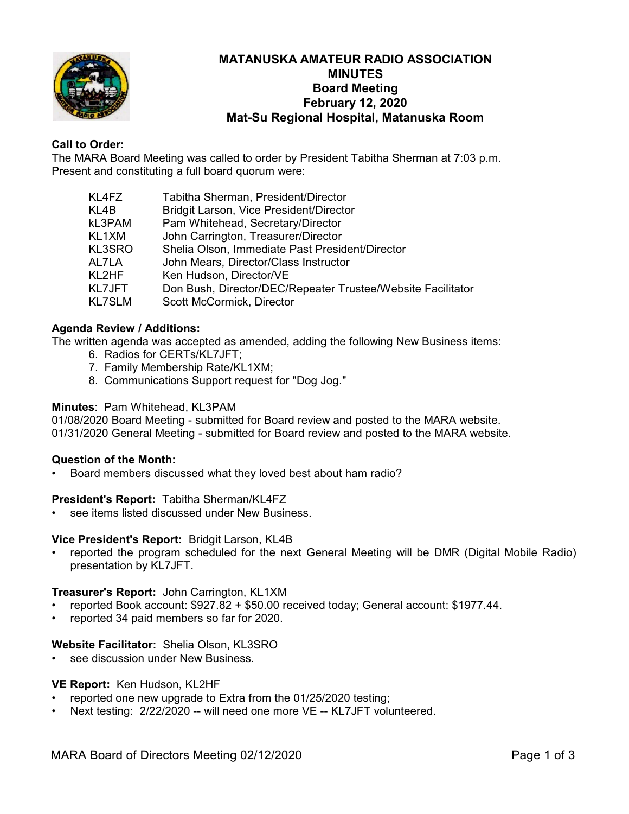

## **MATANUSKA AMATEUR RADIO ASSOCIATION MINUTES Board Meeting February 12, 2020 Mat-Su Regional Hospital, Matanuska Room**

## **Call to Order:**

The MARA Board Meeting was called to order by President Tabitha Sherman at 7:03 p.m. Present and constituting a full board quorum were:

| KL4FZ  | Tabitha Sherman, President/Director                         |
|--------|-------------------------------------------------------------|
| KL4B   | Bridgit Larson, Vice President/Director                     |
| kL3PAM | Pam Whitehead, Secretary/Director                           |
| KL1XM  | John Carrington, Treasurer/Director                         |
| KL3SRO | Shelia Olson, Immediate Past President/Director             |
| AL7LA  | John Mears, Director/Class Instructor                       |
| KL2HF. | Ken Hudson, Director/VE                                     |
| KL7JFT | Don Bush, Director/DEC/Repeater Trustee/Website Facilitator |
| KL7SLM | Scott McCormick, Director                                   |
|        |                                                             |

## **Agenda Review / Additions:**

The written agenda was accepted as amended, adding the following New Business items:

- 6. Radios for CERTs/KL7JFT;
- 7. Family Membership Rate/KL1XM;
- 8. Communications Support request for "Dog Jog."

#### **Minutes**: Pam Whitehead, KL3PAM

01/08/2020 Board Meeting - submitted for Board review and posted to the MARA website. 01/31/2020 General Meeting - submitted for Board review and posted to the MARA website.

#### **Question of the Month:**

• Board members discussed what they loved best about ham radio?

#### **President's Report:** Tabitha Sherman/KL4FZ

see items listed discussed under New Business

#### **Vice President's Report:** Bridgit Larson, KL4B

• reported the program scheduled for the next General Meeting will be DMR (Digital Mobile Radio) presentation by KL7JFT.

#### **Treasurer's Report:** John Carrington, KL1XM

- reported Book account: \$927.82 + \$50.00 received today; General account: \$1977.44.
- reported 34 paid members so far for 2020.

#### **Website Facilitator:** Shelia Olson, KL3SRO

see discussion under New Business.

#### **VE Report:** Ken Hudson, KL2HF

- reported one new upgrade to Extra from the 01/25/2020 testing;
- Next testing: 2/22/2020 -- will need one more VE -- KL7JFT volunteered.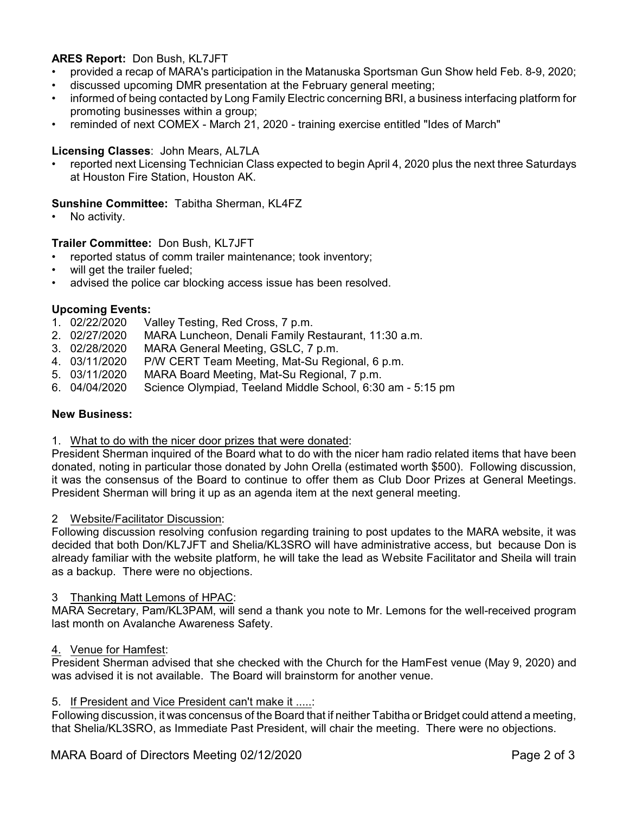## **ARES Report:** Don Bush, KL7JFT

- provided a recap of MARA's participation in the Matanuska Sportsman Gun Show held Feb. 8-9, 2020;
- discussed upcoming DMR presentation at the February general meeting;
- informed of being contacted by Long Family Electric concerning BRI, a business interfacing platform for promoting businesses within a group;
- reminded of next COMEX March 21, 2020 training exercise entitled "Ides of March"

## **Licensing Classes**: John Mears, AL7LA

reported next Licensing Technician Class expected to begin April 4, 2020 plus the next three Saturdays at Houston Fire Station, Houston AK.

## **Sunshine Committee:** Tabitha Sherman, KL4FZ

No activity.

## **Trailer Committee:** Don Bush, KL7JFT

- reported status of comm trailer maintenance; took inventory;
- will get the trailer fueled;
- advised the police car blocking access issue has been resolved.

# **Upcoming Events:**<br>1. 02/22/2020 V

- Valley Testing, Red Cross, 7 p.m.
- 2. 02/27/2020 MARA Luncheon, Denali Family Restaurant, 11:30 a.m.<br>3. 02/28/2020 MARA General Meeting. GSLC. 7 p.m.
- MARA General Meeting, GSLC, 7 p.m.
- 4. 03/11/2020 P/W CERT Team Meeting, Mat-Su Regional, 6 p.m.
- 5. 03/11/2020 MARA Board Meeting, Mat-Su Regional, 7 p.m.
- 6. 04/04/2020 Science Olympiad, Teeland Middle School, 6:30 am 5:15 pm

#### **New Business:**

#### 1. What to do with the nicer door prizes that were donated:

President Sherman inquired of the Board what to do with the nicer ham radio related items that have been donated, noting in particular those donated by John Orella (estimated worth \$500). Following discussion, it was the consensus of the Board to continue to offer them as Club Door Prizes at General Meetings. President Sherman will bring it up as an agenda item at the next general meeting.

#### 2 Website/Facilitator Discussion:

Following discussion resolving confusion regarding training to post updates to the MARA website, it was decided that both Don/KL7JFT and Shelia/KL3SRO will have administrative access, but because Don is already familiar with the website platform, he will take the lead as Website Facilitator and Sheila will train as a backup. There were no objections.

#### 3 Thanking Matt Lemons of HPAC:

MARA Secretary, Pam/KL3PAM, will send a thank you note to Mr. Lemons for the well-received program last month on Avalanche Awareness Safety.

#### 4. Venue for Hamfest:

President Sherman advised that she checked with the Church for the HamFest venue (May 9, 2020) and was advised it is not available. The Board will brainstorm for another venue.

#### 5. If President and Vice President can't make it .....:

Following discussion, it was concensus of the Board that if neither Tabitha or Bridget could attend a meeting, that Shelia/KL3SRO, as Immediate Past President, will chair the meeting. There were no objections.